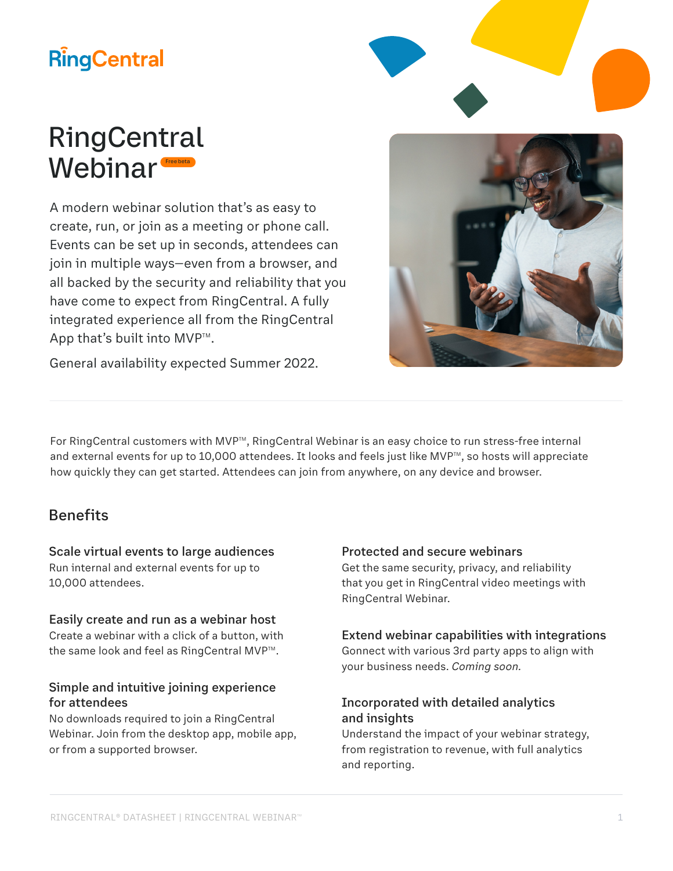# **RingCentral**



# RingCentral Webinar<sup>®</sup> Free beta

A modern webinar solution that's as easy to create, run, or join as a meeting or phone call. Events can be set up in seconds, attendees can join in multiple ways—even from a browser, and all backed by the security and reliability that you have come to expect from RingCentral. A fully integrated experience all from the RingCentral App that's built into  $MVP^{m}$ .

General availability expected Summer 2022.

For RingCentral customers with MVP™, RingCentral Webinar is an easy choice to run stress-free internal and external events for up to 10,000 attendees. It looks and feels just like MVP<sup>™</sup>, so hosts will appreciate how quickly they can get started. Attendees can join from anywhere, on any device and browser.

### Benefits

#### Scale virtual events to large audiences

Run internal and external events for up to 10,000 attendees.

#### Easily create and run as a webinar host

Create a webinar with a click of a button, with the same look and feel as RingCentral MVP™.

#### Simple and intuitive joining experience for attendees

No downloads required to join a RingCentral Webinar. Join from the desktop app, mobile app, or from a supported browser.

#### Protected and secure webinars

Get the same security, privacy, and reliability that you get in RingCentral video meetings with RingCentral Webinar.

#### Extend webinar capabilities with integrations

Gonnect with various 3rd party apps to align with your business needs. *Coming soon.*

#### Incorporated with detailed analytics and insights

Understand the impact of your webinar strategy, from registration to revenue, with full analytics and reporting.

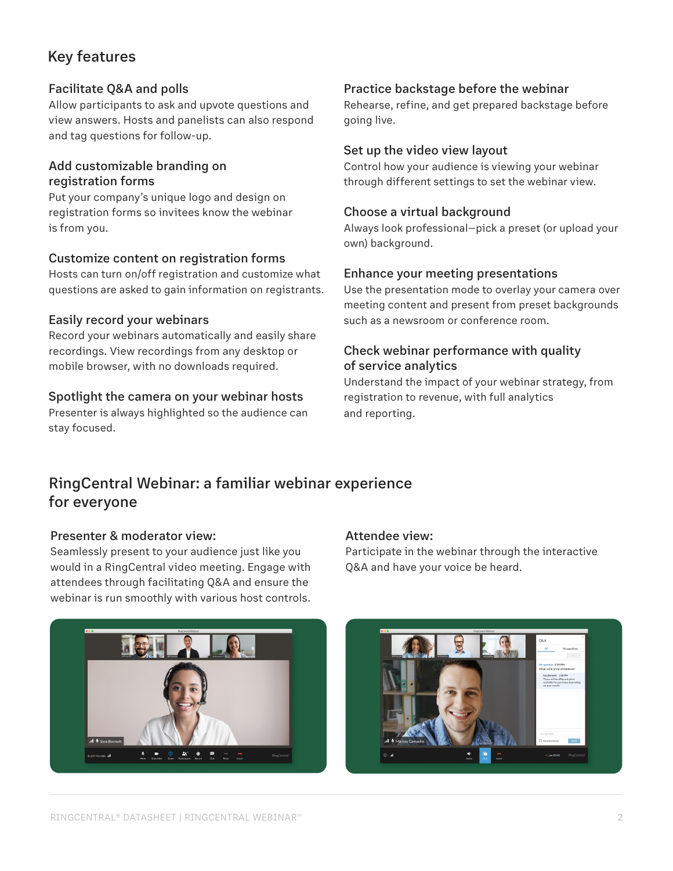# Key features

#### Facilitate Q&A and polls

Allow participants to ask and upvote questions and view answers. Hosts and panelists can also respond and tag questions for follow-up.

#### Add customizable branding on registration forms

Put your company's unique logo and design on registration forms so invitees know the webinar is from you.

#### Customize content on registration forms

Hosts can turn on/off registration and customize what questions are asked to gain information on registrants.

#### Easily record your webinars

Record your webinars automatically and easily share recordings. View recordings from any desktop or mobile browser, with no downloads required.

#### Spotlight the camera on your webinar hosts

Presenter is always highlighted so the audience can stay focused.

#### Practice backstage before the webinar

Rehearse, refine, and get prepared backstage before going live.

#### Set up the video view layout

Control how your audience is viewing your webinar through different settings to set the webinar view.

#### Choose a virtual background

Always look professional—pick a preset (or upload your own) background.

#### Enhance your meeting presentations

Use the presentation mode to overlay your camera over meeting content and present from preset backgrounds such as a newsroom or conference room.

#### Check webinar performance with quality of service analytics

Understand the impact of your webinar strategy, from registration to revenue, with full analytics and reporting.

## RingCentral Webinar: a familiar webinar experience for everyone

#### Presenter & moderator view:

Seamlessly present to your audience just like you would in a RingCentral video meeting. Engage with attendees through facilitating Q&A and ensure the webinar is run smoothly with various host controls.

#### Attendee view:

Participate in the webinar through the interactive Q&A and have your voice be heard.



![](_page_1_Picture_27.jpeg)